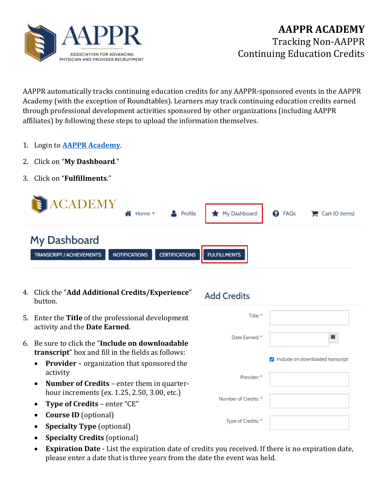

AAPPR automatically tracks continuing education credits for any AAPPR-sponsored events in the AAPPR Academy (with the exception of Roundtables). Learners may track continuing education credits earned through professional development activities sponsored by other organizations (including AAPPR affiliates) by following these steps to upload the information themselves.

- 1. Login to **[AAPPR Academy](https://academy.aappr.org/)**.
- 2. Click on "**My Dashboard**."
- 3. Click on "**Fulfillments**."



- 4. Click the "**Add Additional Credits/Experience**" button.
- 5. Enter the **Title** of the professional development activity and the **Date Earned**.
- 6. Be sure to click the "**Include on downloadable transcript**" box and fill in the fields as follows:
	- **Provider** organization that sponsored the activity
	- **Number of Credits** enter them in quarterhour increments (ex. 1.25, 2.50, 3.00, etc.)
	- **Type of Credits** enter "CE"
	- **Course ID** (optional)
	- **Specialty Type** (optional)
	- **Specialty Credits** (optional)
	- **Expiration Date** List the expiration date of credits you received. If there is no expiration date, please enter a date that is three years from the date the event was held.

## **Add Credits**

| Title: *             |                                  |
|----------------------|----------------------------------|
| Date Earned: *       |                                  |
|                      | Include on downloaded transcript |
| Provider: *          |                                  |
|                      |                                  |
| Number of Credits: * |                                  |